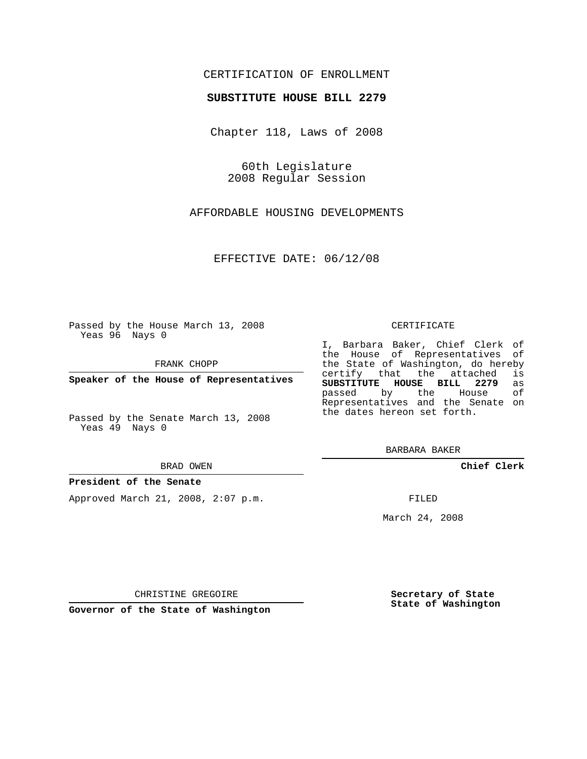## CERTIFICATION OF ENROLLMENT

## **SUBSTITUTE HOUSE BILL 2279**

Chapter 118, Laws of 2008

60th Legislature 2008 Regular Session

AFFORDABLE HOUSING DEVELOPMENTS

EFFECTIVE DATE: 06/12/08

Passed by the House March 13, 2008 Yeas 96 Nays 0

FRANK CHOPP

**Speaker of the House of Representatives**

Passed by the Senate March 13, 2008 Yeas 49 Nays 0

BRAD OWEN

### **President of the Senate**

Approved March 21, 2008, 2:07 p.m.

#### CERTIFICATE

I, Barbara Baker, Chief Clerk of the House of Representatives of the State of Washington, do hereby<br>certify that the attached is certify that the attached **SUBSTITUTE HOUSE BILL 2279** as passed by the House Representatives and the Senate on the dates hereon set forth.

BARBARA BAKER

**Chief Clerk**

FILED

March 24, 2008

CHRISTINE GREGOIRE

**Governor of the State of Washington**

**Secretary of State State of Washington**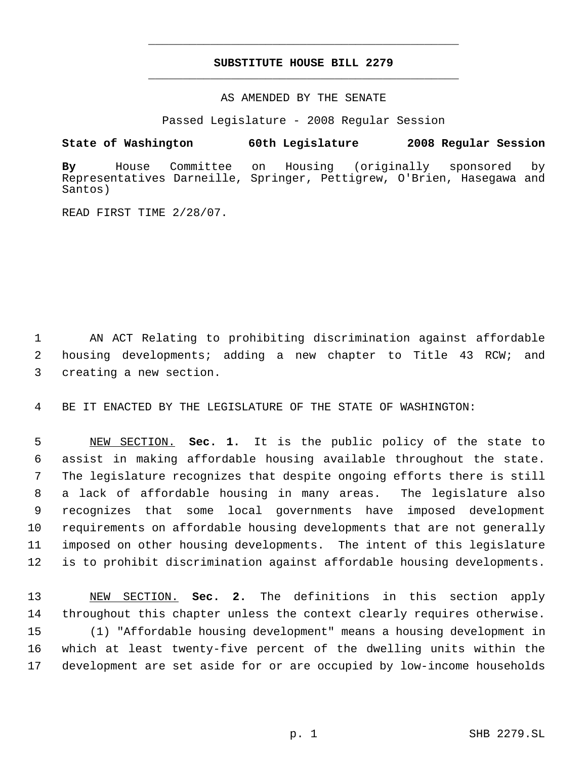# **SUBSTITUTE HOUSE BILL 2279** \_\_\_\_\_\_\_\_\_\_\_\_\_\_\_\_\_\_\_\_\_\_\_\_\_\_\_\_\_\_\_\_\_\_\_\_\_\_\_\_\_\_\_\_\_

\_\_\_\_\_\_\_\_\_\_\_\_\_\_\_\_\_\_\_\_\_\_\_\_\_\_\_\_\_\_\_\_\_\_\_\_\_\_\_\_\_\_\_\_\_

## AS AMENDED BY THE SENATE

Passed Legislature - 2008 Regular Session

**State of Washington 60th Legislature 2008 Regular Session**

**By** House Committee on Housing (originally sponsored by Representatives Darneille, Springer, Pettigrew, O'Brien, Hasegawa and Santos)

READ FIRST TIME 2/28/07.

 AN ACT Relating to prohibiting discrimination against affordable housing developments; adding a new chapter to Title 43 RCW; and creating a new section.

BE IT ENACTED BY THE LEGISLATURE OF THE STATE OF WASHINGTON:

 NEW SECTION. **Sec. 1.** It is the public policy of the state to assist in making affordable housing available throughout the state. The legislature recognizes that despite ongoing efforts there is still a lack of affordable housing in many areas. The legislature also recognizes that some local governments have imposed development requirements on affordable housing developments that are not generally imposed on other housing developments. The intent of this legislature is to prohibit discrimination against affordable housing developments.

 NEW SECTION. **Sec. 2.** The definitions in this section apply throughout this chapter unless the context clearly requires otherwise. (1) "Affordable housing development" means a housing development in which at least twenty-five percent of the dwelling units within the development are set aside for or are occupied by low-income households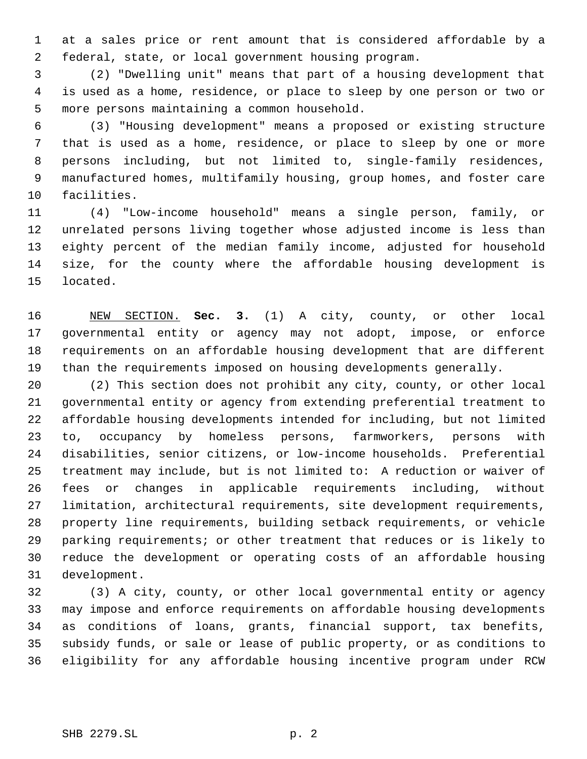at a sales price or rent amount that is considered affordable by a federal, state, or local government housing program.

 (2) "Dwelling unit" means that part of a housing development that is used as a home, residence, or place to sleep by one person or two or more persons maintaining a common household.

 (3) "Housing development" means a proposed or existing structure that is used as a home, residence, or place to sleep by one or more persons including, but not limited to, single-family residences, manufactured homes, multifamily housing, group homes, and foster care facilities.

 (4) "Low-income household" means a single person, family, or unrelated persons living together whose adjusted income is less than eighty percent of the median family income, adjusted for household size, for the county where the affordable housing development is located.

 NEW SECTION. **Sec. 3.** (1) A city, county, or other local governmental entity or agency may not adopt, impose, or enforce requirements on an affordable housing development that are different than the requirements imposed on housing developments generally.

 (2) This section does not prohibit any city, county, or other local governmental entity or agency from extending preferential treatment to affordable housing developments intended for including, but not limited to, occupancy by homeless persons, farmworkers, persons with disabilities, senior citizens, or low-income households. Preferential treatment may include, but is not limited to: A reduction or waiver of fees or changes in applicable requirements including, without limitation, architectural requirements, site development requirements, property line requirements, building setback requirements, or vehicle parking requirements; or other treatment that reduces or is likely to reduce the development or operating costs of an affordable housing development.

 (3) A city, county, or other local governmental entity or agency may impose and enforce requirements on affordable housing developments as conditions of loans, grants, financial support, tax benefits, subsidy funds, or sale or lease of public property, or as conditions to eligibility for any affordable housing incentive program under RCW